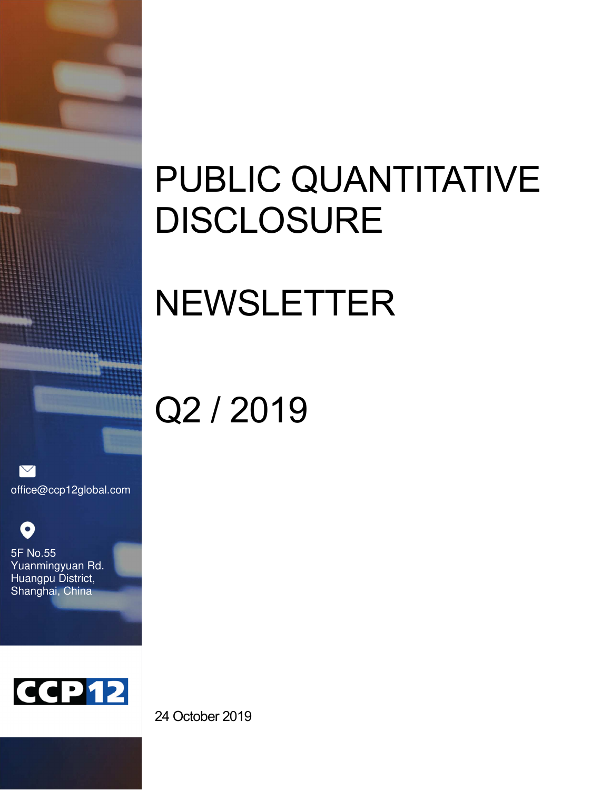# PUBLIC QUANTITATIVE DISCLOSURE

# NEWSLETTER

# Q2 / 2019

 $\triangledown$ office@ccp12global.com

O 5F No.55 Yuanmingyuan Rd. Huangpu District, Shanghai, China



24 October 2019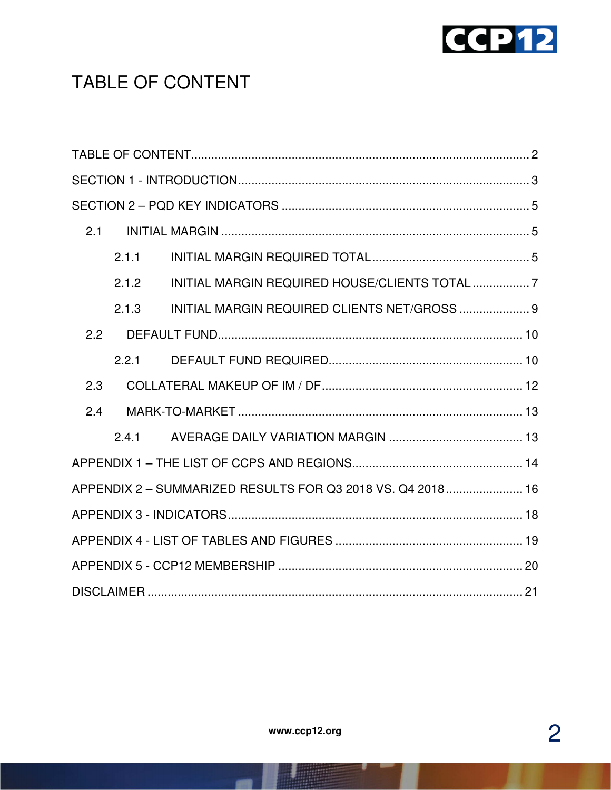

# TABLE OF CONTENT

| 2.1 |       |                                                            |  |  |
|-----|-------|------------------------------------------------------------|--|--|
|     | 2.1.1 |                                                            |  |  |
|     | 2.1.2 |                                                            |  |  |
|     | 2.1.3 | INITIAL MARGIN REQUIRED CLIENTS NET/GROSS  9               |  |  |
| 2.2 |       |                                                            |  |  |
|     | 2.2.1 |                                                            |  |  |
| 2.3 |       |                                                            |  |  |
| 2.4 |       |                                                            |  |  |
|     | 2.4.1 |                                                            |  |  |
|     |       |                                                            |  |  |
|     |       | APPENDIX 2 - SUMMARIZED RESULTS FOR Q3 2018 VS. Q4 2018 16 |  |  |
|     |       |                                                            |  |  |
|     |       |                                                            |  |  |
|     |       |                                                            |  |  |
|     |       |                                                            |  |  |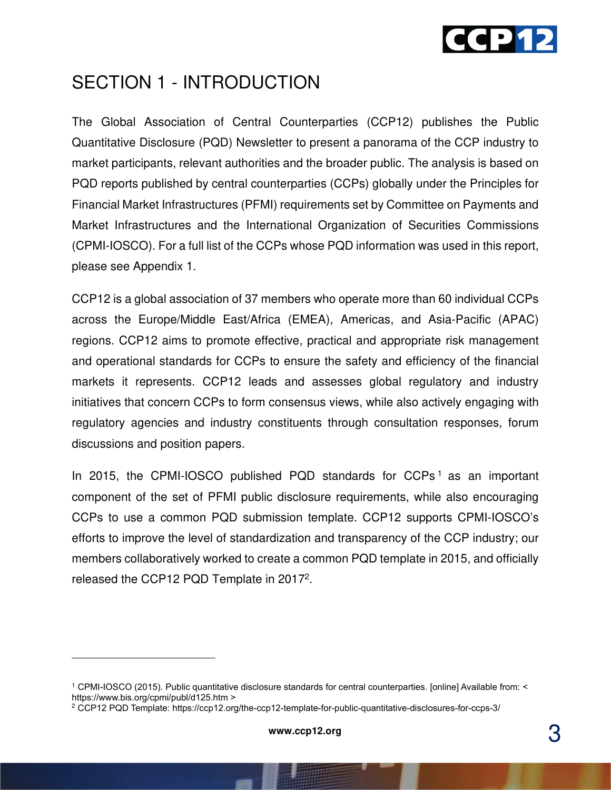

### SECTION 1 - INTRODUCTION

The Global Association of Central Counterparties (CCP12) publishes the Public Quantitative Disclosure (PQD) Newsletter to present a panorama of the CCP industry to market participants, relevant authorities and the broader public. The analysis is based on PQD reports published by central counterparties (CCPs) globally under the Principles for Financial Market Infrastructures (PFMI) requirements set by Committee on Payments and Market Infrastructures and the International Organization of Securities Commissions (CPMI-IOSCO). For a full list of the CCPs whose PQD information was used in this report, please see Appendix 1.

CCP12 is a global association of 37 members who operate more than 60 individual CCPs across the Europe/Middle East/Africa (EMEA), Americas, and Asia-Pacific (APAC) regions. CCP12 aims to promote effective, practical and appropriate risk management and operational standards for CCPs to ensure the safety and efficiency of the financial markets it represents. CCP12 leads and assesses global regulatory and industry initiatives that concern CCPs to form consensus views, while also actively engaging with regulatory agencies and industry constituents through consultation responses, forum discussions and position papers.

In 2015, the CPMI-IOSCO published PQD standards for CCPs<sup>1</sup> as an important component of the set of PFMI public disclosure requirements, while also encouraging CCPs to use a common PQD submission template. CCP12 supports CPMI-IOSCO's efforts to improve the level of standardization and transparency of the CCP industry; our members collaboratively worked to create a common PQD template in 2015, and officially released the CCP12 PQD Template in 2017<sup>2</sup>.

<sup>1</sup> CPMI-IOSCO (2015). Public quantitative disclosure standards for central counterparties. [online] Available from: < https://www.bis.org/cpmi/publ/d125.htm >

<sup>2</sup> CCP12 PQD Template: https://ccp12.org/the-ccp12-template-for-public-quantitative-disclosures-for-ccps-3/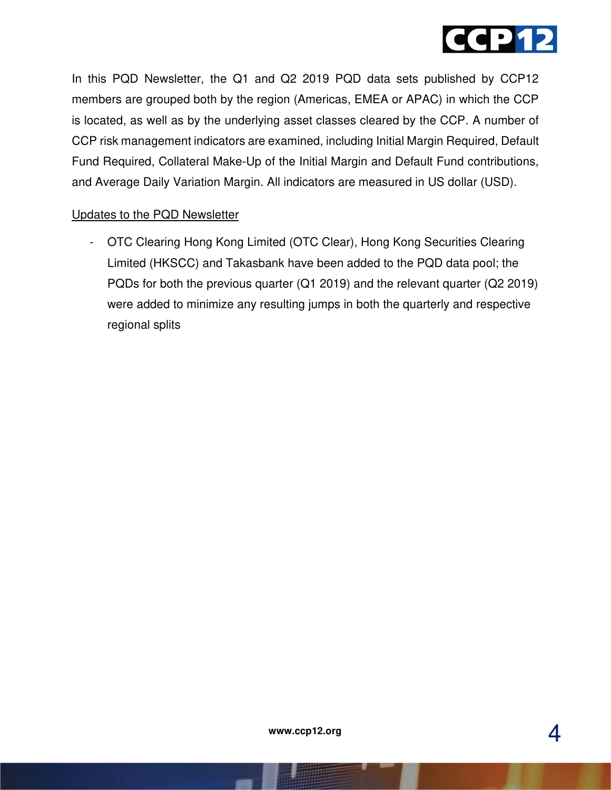

In this PQD Newsletter, the Q1 and Q2 2019 PQD data sets published by CCP12 members are grouped both by the region (Americas, EMEA or APAC) in which the CCP is located, as well as by the underlying asset classes cleared by the CCP. A number of CCP risk management indicators are examined, including Initial Margin Required, Default Fund Required, Collateral Make-Up of the Initial Margin and Default Fund contributions, and Average Daily Variation Margin. All indicators are measured in US dollar (USD).

#### Updates to the PQD Newsletter

- OTC Clearing Hong Kong Limited (OTC Clear), Hong Kong Securities Clearing Limited (HKSCC) and Takasbank have been added to the PQD data pool; the PQDs for both the previous quarter (Q1 2019) and the relevant quarter (Q2 2019) were added to minimize any resulting jumps in both the quarterly and respective regional splits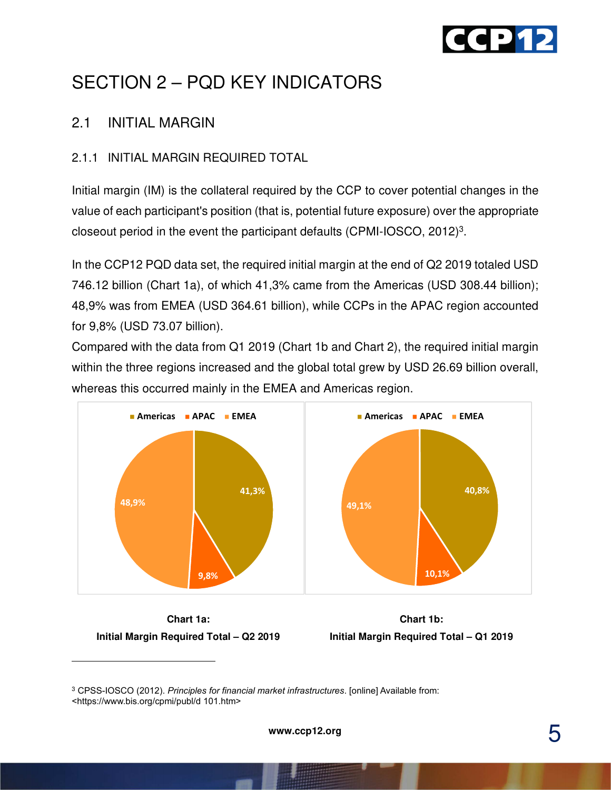

# SECTION 2 – PQD KEY INDICATORS

#### 2.1 INITIAL MARGIN

#### 2.1.1 INITIAL MARGIN REQUIRED TOTAL

Initial margin (IM) is the collateral required by the CCP to cover potential changes in the value of each participant's position (that is, potential future exposure) over the appropriate closeout period in the event the participant defaults (CPMI-IOSCO, 2012)<sup>3</sup>.

In the CCP12 PQD data set, the required initial margin at the end of Q2 2019 totaled USD 746.12 billion (Chart 1a), of which 41,3% came from the Americas (USD 308.44 billion); 48,9% was from EMEA (USD 364.61 billion), while CCPs in the APAC region accounted for 9,8% (USD 73.07 billion).

Compared with the data from Q1 2019 (Chart 1b and Chart 2), the required initial margin within the three regions increased and the global total grew by USD 26.69 billion overall, whereas this occurred mainly in the EMEA and Americas region.



**Chart 1a: Initial Margin Required Total – Q2 2019** 



3 CPSS-IOSCO (2012). *Principles for financial market infrastructures*. [online] Available from: <https://www.bis.org/cpmi/publ/d 101.htm>

5 **www.ccp12.org**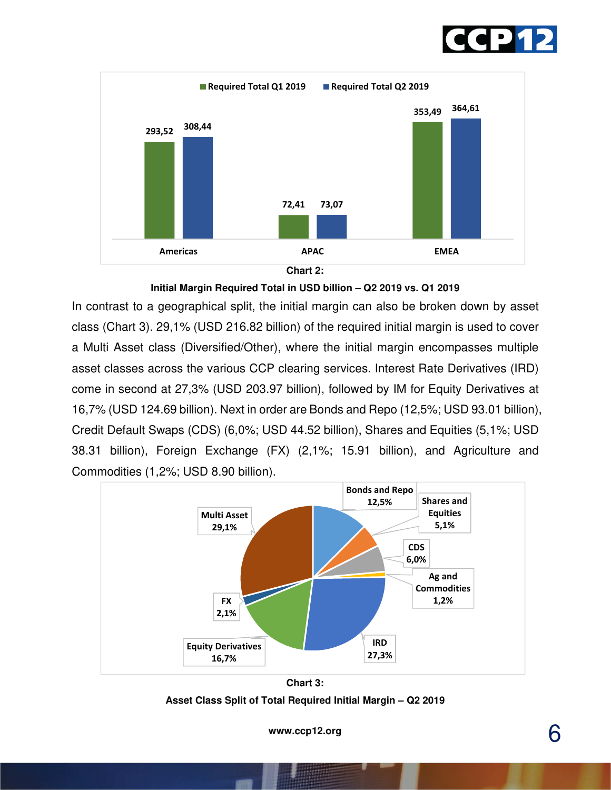





**Initial Margin Required Total in USD billion – Q2 2019 vs. Q1 2019** 

In contrast to a geographical split, the initial margin can also be broken down by asset class (Chart 3). 29,1% (USD 216.82 billion) of the required initial margin is used to cover a Multi Asset class (Diversified/Other), where the initial margin encompasses multiple asset classes across the various CCP clearing services. Interest Rate Derivatives (IRD) come in second at 27,3% (USD 203.97 billion), followed by IM for Equity Derivatives at 16,7% (USD 124.69 billion). Next in order are Bonds and Repo (12,5%; USD 93.01 billion), Credit Default Swaps (CDS) (6,0%; USD 44.52 billion), Shares and Equities (5,1%; USD 38.31 billion), Foreign Exchange (FX) (2,1%; 15.91 billion), and Agriculture and Commodities (1,2%; USD 8.90 billion).



**Chart 3: Asset Class Split of Total Required Initial Margin – Q2 2019**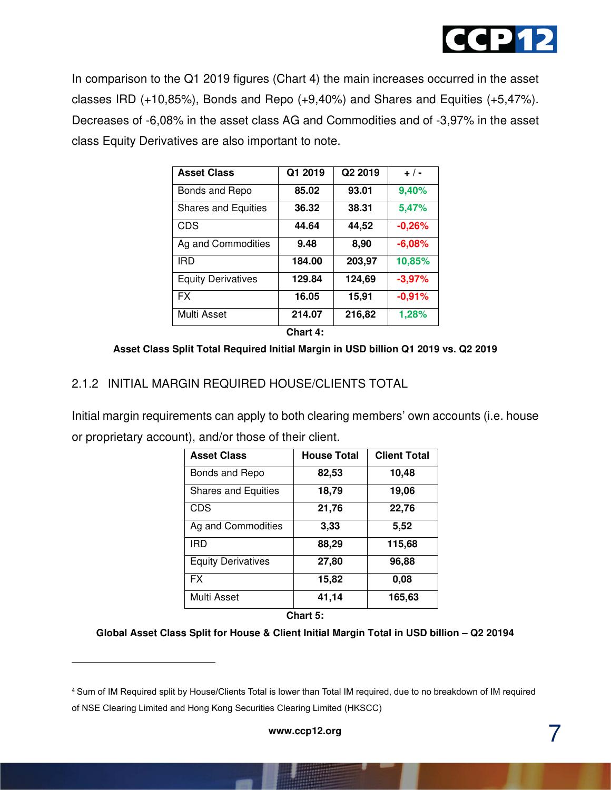

In comparison to the Q1 2019 figures (Chart 4) the main increases occurred in the asset classes IRD (+10,85%), Bonds and Repo (+9,40%) and Shares and Equities (+5,47%). Decreases of -6,08% in the asset class AG and Commodities and of -3,97% in the asset class Equity Derivatives are also important to note.

| <b>Asset Class</b>         | Q1 2019 | Q2 2019 | $+$ / -  |
|----------------------------|---------|---------|----------|
| Bonds and Repo             | 85.02   | 93.01   | 9,40%    |
| <b>Shares and Equities</b> | 36.32   | 38.31   | 5,47%    |
| <b>CDS</b>                 | 44.64   | 44,52   | $-0,26%$ |
| Ag and Commodities         | 9.48    | 8,90    | $-6,08%$ |
| <b>IRD</b>                 | 184.00  | 203,97  | 10,85%   |
| <b>Equity Derivatives</b>  | 129.84  | 124,69  | $-3,97%$ |
| <b>FX</b>                  | 16.05   | 15,91   | $-0,91%$ |
| Multi Asset                | 214.07  | 216,82  | 1,28%    |
| Chart 4.                   |         |         |          |

**Asset Class Split Total Required Initial Margin in USD billion Q1 2019 vs. Q2 2019** 

#### 2.1.2 INITIAL MARGIN REQUIRED HOUSE/CLIENTS TOTAL

Initial margin requirements can apply to both clearing members' own accounts (i.e. house or proprietary account), and/or those of their client.

| <b>Asset Class</b>         | <b>House Total</b> | <b>Client Total</b> |
|----------------------------|--------------------|---------------------|
| Bonds and Repo             | 82,53              | 10,48               |
| <b>Shares and Equities</b> | 18,79              | 19,06               |
| <b>CDS</b>                 | 21,76              | 22,76               |
| Ag and Commodities         | 3,33               | 5,52                |
| <b>IRD</b>                 | 88,29              | 115,68              |
| <b>Equity Derivatives</b>  | 27,80              | 96,88               |
| <b>FX</b>                  | 15,82              | 0,08                |
| Multi Asset                | 41,14              | 165,63              |

**Chart 5:** 

#### **Global Asset Class Split for House & Client Initial Margin Total in USD billion – Q2 20194**

<sup>4</sup> Sum of IM Required split by House/Clients Total is lower than Total IM required, due to no breakdown of IM required of NSE Clearing Limited and Hong Kong Securities Clearing Limited (HKSCC)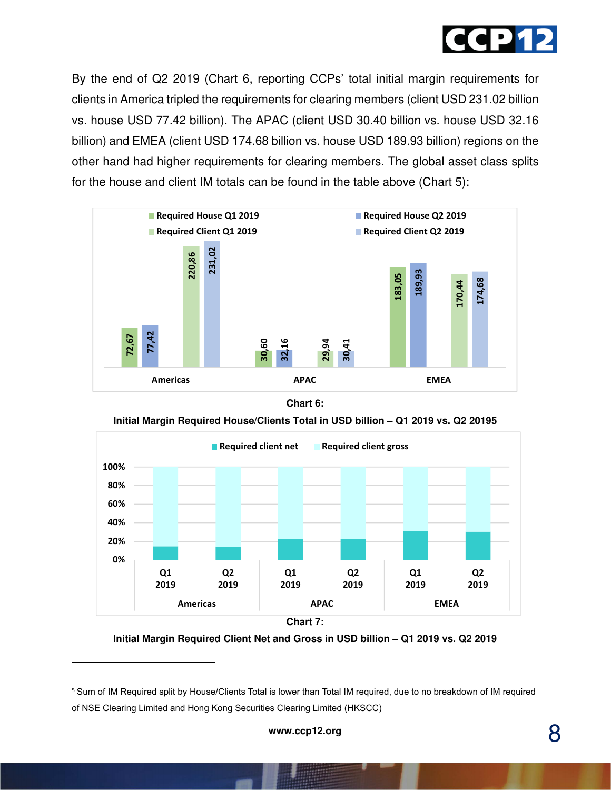

By the end of Q2 2019 (Chart 6, reporting CCPs' total initial margin requirements for clients in America tripled the requirements for clearing members (client USD 231.02 billion vs. house USD 77.42 billion). The APAC (client USD 30.40 billion vs. house USD 32.16 billion) and EMEA (client USD 174.68 billion vs. house USD 189.93 billion) regions on the other hand had higher requirements for clearing members. The global asset class splits for the house and client IM totals can be found in the table above (Chart 5):



**Chart 6:** 





**Initial Margin Required Client Net and Gross in USD billion – Q1 2019 vs. Q2 2019**

<sup>5</sup> Sum of IM Required split by House/Clients Total is lower than Total IM required, due to no breakdown of IM required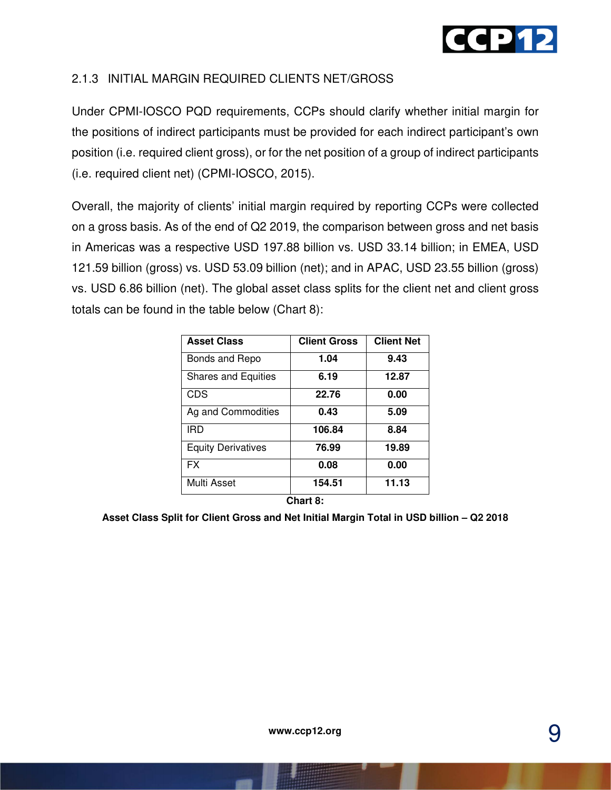

#### 2.1.3 INITIAL MARGIN REQUIRED CLIENTS NET/GROSS

Under CPMI-IOSCO PQD requirements, CCPs should clarify whether initial margin for the positions of indirect participants must be provided for each indirect participant's own position (i.e. required client gross), or for the net position of a group of indirect participants (i.e. required client net) (CPMI-IOSCO, 2015).

Overall, the majority of clients' initial margin required by reporting CCPs were collected on a gross basis. As of the end of Q2 2019, the comparison between gross and net basis in Americas was a respective USD 197.88 billion vs. USD 33.14 billion; in EMEA, USD 121.59 billion (gross) vs. USD 53.09 billion (net); and in APAC, USD 23.55 billion (gross) vs. USD 6.86 billion (net). The global asset class splits for the client net and client gross totals can be found in the table below (Chart 8):

| <b>Asset Class</b>         | <b>Client Gross</b> | <b>Client Net</b> |
|----------------------------|---------------------|-------------------|
| Bonds and Repo             | 1.04                | 9.43              |
| <b>Shares and Equities</b> | 6.19                | 12.87             |
| <b>CDS</b>                 | 22.76               | 0.00              |
| Ag and Commodities         | 0.43                | 5.09              |
| IRD                        | 106.84              | 8.84              |
| <b>Equity Derivatives</b>  | 76.99               | 19.89             |
| <b>FX</b>                  | 0.08                | 0.00              |
| Multi Asset                | 154.51              | 11.13             |

**Chart 8:** 

**Asset Class Split for Client Gross and Net Initial Margin Total in USD billion – Q2 2018**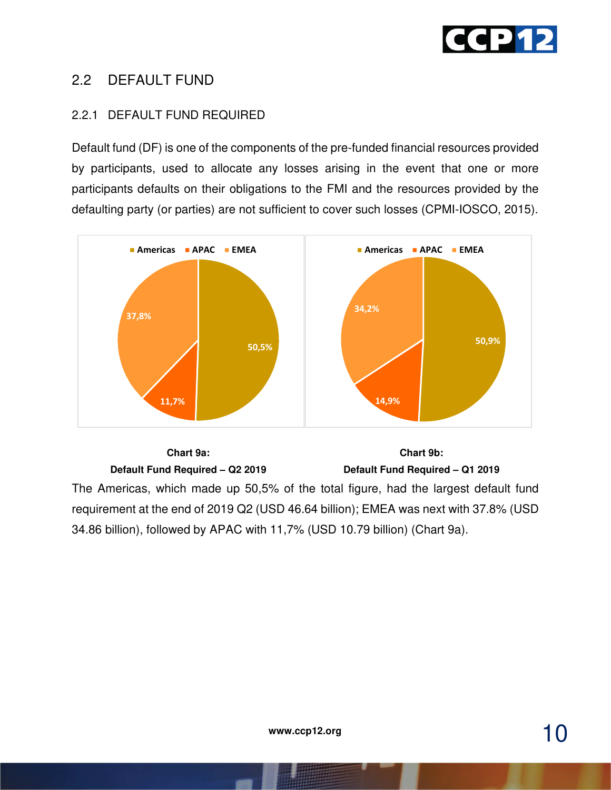

#### 2.2 DEFAULT FUND

#### 2.2.1 DEFAULT FUND REQUIRED

Default fund (DF) is one of the components of the pre-funded financial resources provided by participants, used to allocate any losses arising in the event that one or more participants defaults on their obligations to the FMI and the resources provided by the defaulting party (or parties) are not sufficient to cover such losses (CPMI-IOSCO, 2015).



**Chart 9a: Default Fund Required – Q2 2019 Chart 9b: Default Fund Required – Q1 2019**  The Americas, which made up 50,5% of the total figure, had the largest default fund requirement at the end of 2019 Q2 (USD 46.64 billion); EMEA was next with 37.8% (USD 34.86 billion), followed by APAC with 11,7% (USD 10.79 billion) (Chart 9a).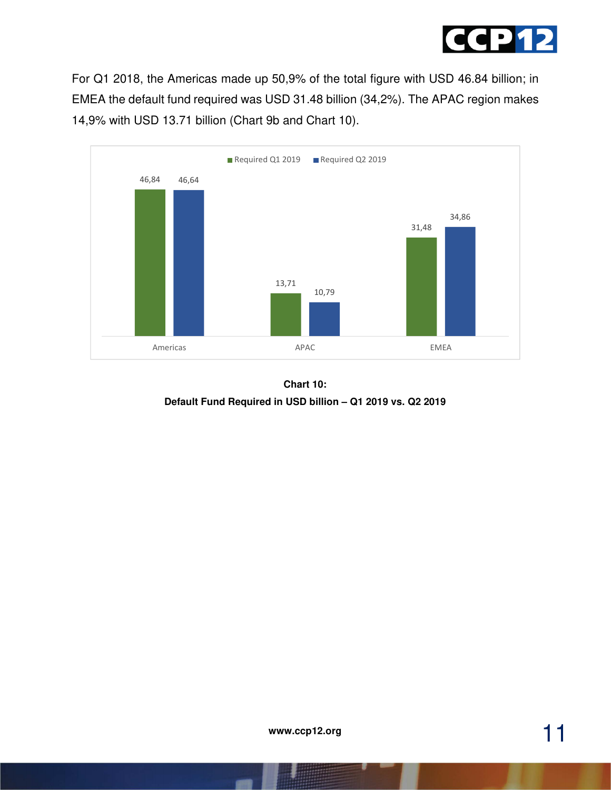

For Q1 2018, the Americas made up 50,9% of the total figure with USD 46.84 billion; in EMEA the default fund required was USD 31.48 billion (34,2%). The APAC region makes 14,9% with USD 13.71 billion (Chart 9b and Chart 10).



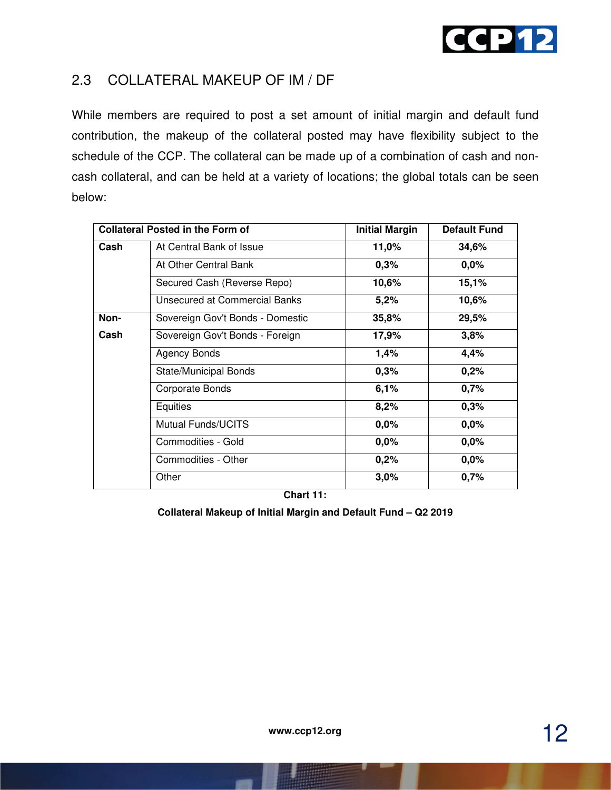

#### 2.3 COLLATERAL MAKEUP OF IM / DF

While members are required to post a set amount of initial margin and default fund contribution, the makeup of the collateral posted may have flexibility subject to the schedule of the CCP. The collateral can be made up of a combination of cash and noncash collateral, and can be held at a variety of locations; the global totals can be seen below:

|      | <b>Collateral Posted in the Form of</b> | <b>Initial Margin</b> | <b>Default Fund</b> |
|------|-----------------------------------------|-----------------------|---------------------|
| Cash | At Central Bank of Issue                | 11,0%                 | 34,6%               |
|      | At Other Central Bank                   | 0,3%                  | 0,0%                |
|      | Secured Cash (Reverse Repo)             | 10,6%                 | 15,1%               |
|      | Unsecured at Commercial Banks           | 5,2%                  | 10,6%               |
| Non- | Sovereign Gov't Bonds - Domestic        | 35,8%                 | 29,5%               |
| Cash | Sovereign Gov't Bonds - Foreign         | 17,9%                 | 3,8%                |
|      | Agency Bonds                            | 1,4%                  | 4,4%                |
|      | <b>State/Municipal Bonds</b>            | 0,3%                  | 0,2%                |
|      | Corporate Bonds                         | 6,1%                  | 0,7%                |
|      | Equities                                | 8,2%                  | 0,3%                |
|      | <b>Mutual Funds/UCITS</b>               | 0,0%                  | 0,0%                |
|      | Commodities - Gold                      | 0,0%                  | 0,0%                |
|      | Commodities - Other                     | 0,2%                  | 0,0%                |
|      | Other                                   | 3,0%                  | 0,7%                |

**Chart 11:** 

**Collateral Makeup of Initial Margin and Default Fund – Q2 2019**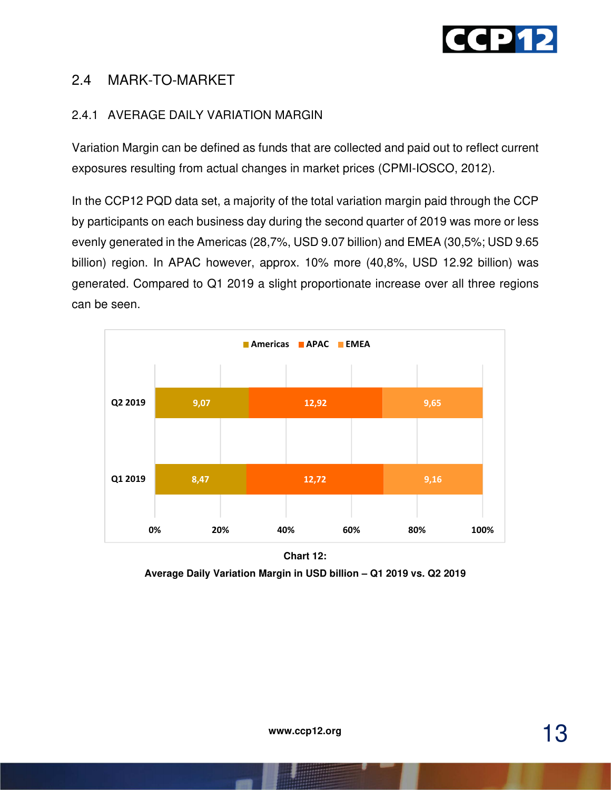

#### 2.4 MARK-TO-MARKET

#### 2.4.1 AVERAGE DAILY VARIATION MARGIN

Variation Margin can be defined as funds that are collected and paid out to reflect current exposures resulting from actual changes in market prices (CPMI-IOSCO, 2012).

In the CCP12 PQD data set, a majority of the total variation margin paid through the CCP by participants on each business day during the second quarter of 2019 was more or less evenly generated in the Americas (28,7%, USD 9.07 billion) and EMEA (30,5%; USD 9.65 billion) region. In APAC however, approx. 10% more (40,8%, USD 12.92 billion) was generated. Compared to Q1 2019 a slight proportionate increase over all three regions can be seen.



**Chart 12: Average Daily Variation Margin in USD billion – Q1 2019 vs. Q2 2019**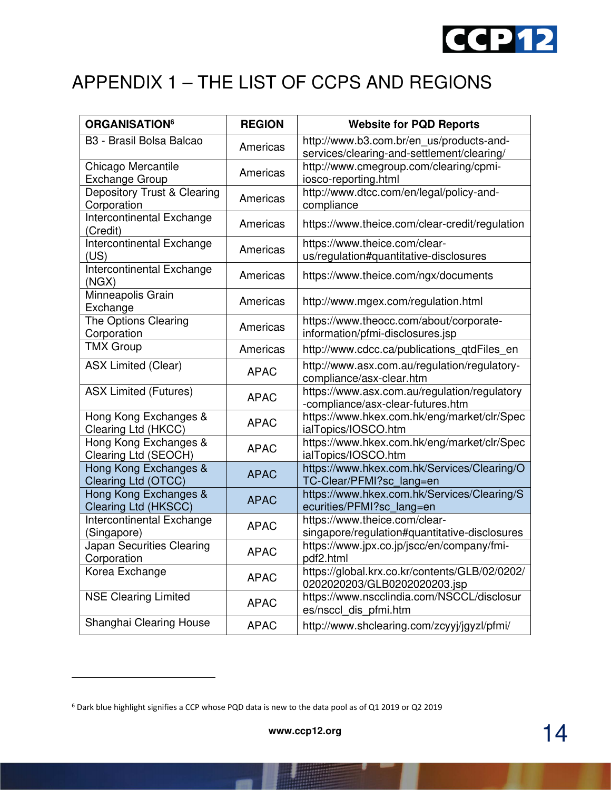

# APPENDIX 1 – THE LIST OF CCPS AND REGIONS

| <b>ORGANISATION<sup>6</sup></b>               | <b>REGION</b> | <b>Website for PQD Reports</b>                                                         |
|-----------------------------------------------|---------------|----------------------------------------------------------------------------------------|
| B3 - Brasil Bolsa Balcao                      | Americas      | http://www.b3.com.br/en_us/products-and-<br>services/clearing-and-settlement/clearing/ |
| Chicago Mercantile<br>Exchange Group          | Americas      | http://www.cmegroup.com/clearing/cpmi-<br>iosco-reporting.html                         |
| Depository Trust & Clearing<br>Corporation    | Americas      | http://www.dtcc.com/en/legal/policy-and-<br>compliance                                 |
| Intercontinental Exchange<br>(Credit)         | Americas      | https://www.theice.com/clear-credit/regulation                                         |
| Intercontinental Exchange<br>(US)             | Americas      | https://www.theice.com/clear-<br>us/regulation#quantitative-disclosures                |
| Intercontinental Exchange<br>(NGX)            | Americas      | https://www.theice.com/ngx/documents                                                   |
| Minneapolis Grain<br>Exchange                 | Americas      | http://www.mgex.com/regulation.html                                                    |
| The Options Clearing<br>Corporation           | Americas      | https://www.theocc.com/about/corporate-<br>information/pfmi-disclosures.jsp            |
| <b>TMX Group</b>                              | Americas      | http://www.cdcc.ca/publications_qtdFiles_en                                            |
| <b>ASX Limited (Clear)</b>                    | <b>APAC</b>   | http://www.asx.com.au/regulation/regulatory-<br>compliance/asx-clear.htm               |
| <b>ASX Limited (Futures)</b>                  | <b>APAC</b>   | https://www.asx.com.au/regulation/regulatory<br>-compliance/asx-clear-futures.htm      |
| Hong Kong Exchanges &<br>Clearing Ltd (HKCC)  | <b>APAC</b>   | https://www.hkex.com.hk/eng/market/clr/Spec<br>ialTopics/IOSCO.htm                     |
| Hong Kong Exchanges &<br>Clearing Ltd (SEOCH) | <b>APAC</b>   | https://www.hkex.com.hk/eng/market/clr/Spec<br>ialTopics/IOSCO.htm                     |
| Hong Kong Exchanges &<br>Clearing Ltd (OTCC)  | <b>APAC</b>   | https://www.hkex.com.hk/Services/Clearing/O<br>TC-Clear/PFMI?sc_lang=en                |
| Hong Kong Exchanges &<br>Clearing Ltd (HKSCC) | <b>APAC</b>   | https://www.hkex.com.hk/Services/Clearing/S<br>ecurities/PFMI?sc_lang=en               |
| Intercontinental Exchange<br>(Singapore)      | <b>APAC</b>   | https://www.theice.com/clear-<br>singapore/regulation#quantitative-disclosures         |
| Japan Securities Clearing<br>Corporation      | <b>APAC</b>   | https://www.jpx.co.jp/jscc/en/company/fmi-<br>pdf2.html                                |
| Korea Exchange                                | <b>APAC</b>   | https://global.krx.co.kr/contents/GLB/02/0202/<br>0202020203/GLB0202020203.jsp         |
| <b>NSE Clearing Limited</b>                   | <b>APAC</b>   | https://www.nscclindia.com/NSCCL/disclosur<br>es/nsccl_dis_pfmi.htm                    |
| Shanghai Clearing House                       | <b>APAC</b>   | http://www.shclearing.com/zcyyj/jgyzl/pfmi/                                            |

<sup>6</sup> Dark blue highlight signifies a CCP whose PQD data is new to the data pool as of Q1 2019 or Q2 2019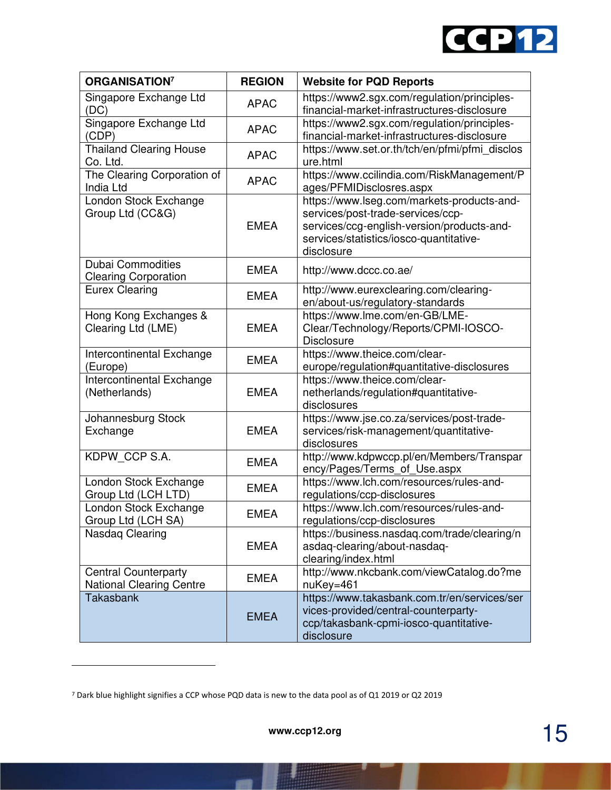

| <b>ORGANISATION<sup>7</sup></b>                                | <b>REGION</b> | <b>Website for PQD Reports</b>                                                                                                                                                         |
|----------------------------------------------------------------|---------------|----------------------------------------------------------------------------------------------------------------------------------------------------------------------------------------|
| Singapore Exchange Ltd<br>(DC)                                 | <b>APAC</b>   | https://www2.sgx.com/regulation/principles-<br>financial-market-infrastructures-disclosure                                                                                             |
| Singapore Exchange Ltd<br>(CDP)                                | <b>APAC</b>   | https://www2.sgx.com/regulation/principles-<br>financial-market-infrastructures-disclosure                                                                                             |
| <b>Thailand Clearing House</b><br>Co. Ltd.                     | <b>APAC</b>   | https://www.set.or.th/tch/en/pfmi/pfmi_disclos<br>ure.html                                                                                                                             |
| The Clearing Corporation of<br>India Ltd                       | <b>APAC</b>   | https://www.ccilindia.com/RiskManagement/P<br>ages/PFMIDisclosres.aspx                                                                                                                 |
| London Stock Exchange<br>Group Ltd (CC&G)                      | <b>EMEA</b>   | https://www.lseg.com/markets-products-and-<br>services/post-trade-services/ccp-<br>services/ccg-english-version/products-and-<br>services/statistics/iosco-quantitative-<br>disclosure |
| <b>Dubai Commodities</b><br><b>Clearing Corporation</b>        | <b>EMEA</b>   | http://www.dccc.co.ae/                                                                                                                                                                 |
| <b>Eurex Clearing</b>                                          | <b>EMEA</b>   | http://www.eurexclearing.com/clearing-<br>en/about-us/regulatory-standards                                                                                                             |
| Hong Kong Exchanges &<br>Clearing Ltd (LME)                    | <b>EMEA</b>   | https://www.lme.com/en-GB/LME-<br>Clear/Technology/Reports/CPMI-IOSCO-<br><b>Disclosure</b>                                                                                            |
| Intercontinental Exchange<br>(Europe)                          | <b>EMEA</b>   | https://www.theice.com/clear-<br>europe/regulation#quantitative-disclosures                                                                                                            |
| Intercontinental Exchange<br>(Netherlands)                     | <b>EMEA</b>   | https://www.theice.com/clear-<br>netherlands/regulation#quantitative-<br>disclosures                                                                                                   |
| Johannesburg Stock<br>Exchange                                 | <b>EMEA</b>   | https://www.jse.co.za/services/post-trade-<br>services/risk-management/quantitative-<br>disclosures                                                                                    |
| KDPW_CCP S.A.                                                  | <b>EMEA</b>   | http://www.kdpwccp.pl/en/Members/Transpar<br>ency/Pages/Terms_of_Use.aspx                                                                                                              |
| London Stock Exchange<br>Group Ltd (LCH LTD)                   | <b>EMEA</b>   | https://www.lch.com/resources/rules-and-<br>regulations/ccp-disclosures                                                                                                                |
| London Stock Exchange<br>Group Ltd (LCH SA)                    | <b>EMEA</b>   | https://www.lch.com/resources/rules-and-<br>regulations/ccp-disclosures                                                                                                                |
| Nasdaq Clearing                                                | <b>EMEA</b>   | https://business.nasdaq.com/trade/clearing/n<br>asdaq-clearing/about-nasdaq-<br>clearing/index.html                                                                                    |
| <b>Central Counterparty</b><br><b>National Clearing Centre</b> | <b>EMEA</b>   | http://www.nkcbank.com/viewCatalog.do?me<br>nuKey=461                                                                                                                                  |
| <b>Takasbank</b>                                               | <b>EMEA</b>   | https://www.takasbank.com.tr/en/services/ser<br>vices-provided/central-counterparty-<br>ccp/takasbank-cpmi-iosco-quantitative-<br>disclosure                                           |

m

<sup>7</sup> Dark blue highlight signifies a CCP whose PQD data is new to the data pool as of Q1 2019 or Q2 2019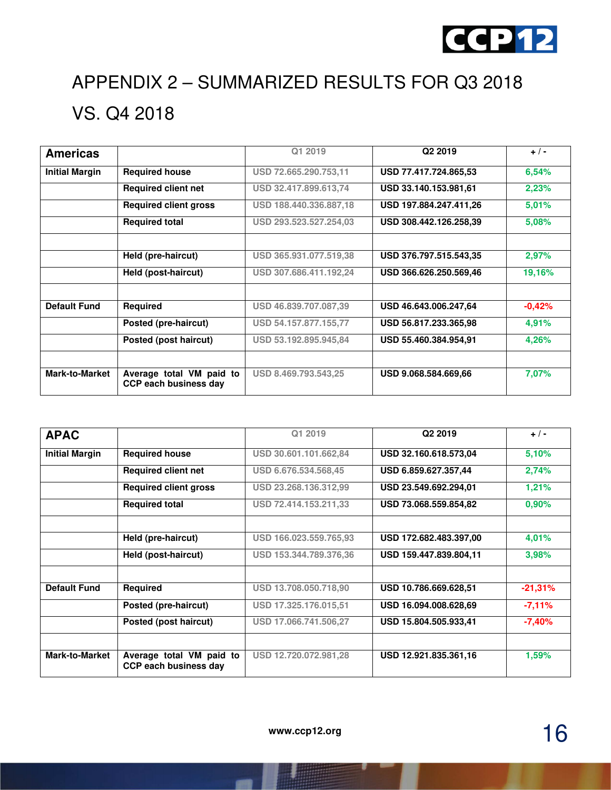

# APPENDIX 2 – SUMMARIZED RESULTS FOR Q3 2018 VS. Q4 2018

| <b>Americas</b>       |                                                   | Q1 2019                | Q <sub>2</sub> 2019    | $+$ / -  |
|-----------------------|---------------------------------------------------|------------------------|------------------------|----------|
| <b>Initial Margin</b> | <b>Required house</b>                             | USD 72.665.290.753,11  | USD 77.417.724.865,53  | 6,54%    |
|                       | <b>Required client net</b>                        | USD 32.417.899.613,74  | USD 33.140.153.981.61  | 2,23%    |
|                       | <b>Required client gross</b>                      | USD 188.440.336.887,18 | USD 197.884.247.411,26 | 5,01%    |
|                       | <b>Required total</b>                             | USD 293.523.527.254,03 | USD 308.442.126.258.39 | 5,08%    |
|                       |                                                   |                        |                        |          |
|                       | Held (pre-haircut)                                | USD 365.931.077.519,38 | USD 376.797.515.543,35 | 2,97%    |
|                       | Held (post-haircut)                               | USD 307.686.411.192,24 | USD 366.626.250.569,46 | 19,16%   |
|                       |                                                   |                        |                        |          |
| <b>Default Fund</b>   | <b>Required</b>                                   | USD 46.839.707.087,39  | USD 46.643.006.247,64  | $-0.42%$ |
|                       | Posted (pre-haircut)                              | USD 54.157.877.155.77  | USD 56.817.233.365,98  | 4,91%    |
|                       | Posted (post haircut)                             | USD 53.192.895.945,84  | USD 55.460.384.954,91  | 4,26%    |
|                       |                                                   |                        |                        |          |
| <b>Mark-to-Market</b> | Average total VM paid to<br>CCP each business day | USD 8.469.793.543,25   | USD 9.068.584.669.66   | 7,07%    |

| <b>APAC</b>           |                                                          | Q1 2019                | Q <sub>2</sub> 2019    | $+$ / -   |
|-----------------------|----------------------------------------------------------|------------------------|------------------------|-----------|
| <b>Initial Margin</b> | <b>Required house</b>                                    | USD 30.601.101.662,84  | USD 32.160.618.573,04  | 5,10%     |
|                       | <b>Required client net</b>                               | USD 6.676.534.568,45   | USD 6.859.627.357,44   | 2,74%     |
|                       | <b>Required client gross</b>                             | USD 23.268.136.312,99  | USD 23.549.692.294,01  | 1,21%     |
|                       | <b>Required total</b>                                    | USD 72.414.153.211,33  | USD 73.068.559.854,82  | 0,90%     |
|                       |                                                          |                        |                        |           |
|                       | Held (pre-haircut)                                       | USD 166.023.559.765.93 | USD 172.682.483.397,00 | 4,01%     |
|                       | Held (post-haircut)                                      | USD 153.344.789.376,36 | USD 159.447.839.804,11 | 3,98%     |
|                       |                                                          |                        |                        |           |
| <b>Default Fund</b>   | Required                                                 | USD 13.708.050.718,90  | USD 10.786.669.628,51  | $-21,31%$ |
|                       | Posted (pre-haircut)                                     | USD 17.325.176.015,51  | USD 16.094.008.628,69  | $-7,11%$  |
|                       | Posted (post haircut)                                    | USD 17.066.741.506,27  | USD 15.804.505.933,41  | $-7,40%$  |
|                       |                                                          |                        |                        |           |
| <b>Mark-to-Market</b> | Average total VM paid to<br><b>CCP each business day</b> | USD 12.720.072.981,28  | USD 12.921.835.361.16  | 1,59%     |

16 **www.ccp12.org**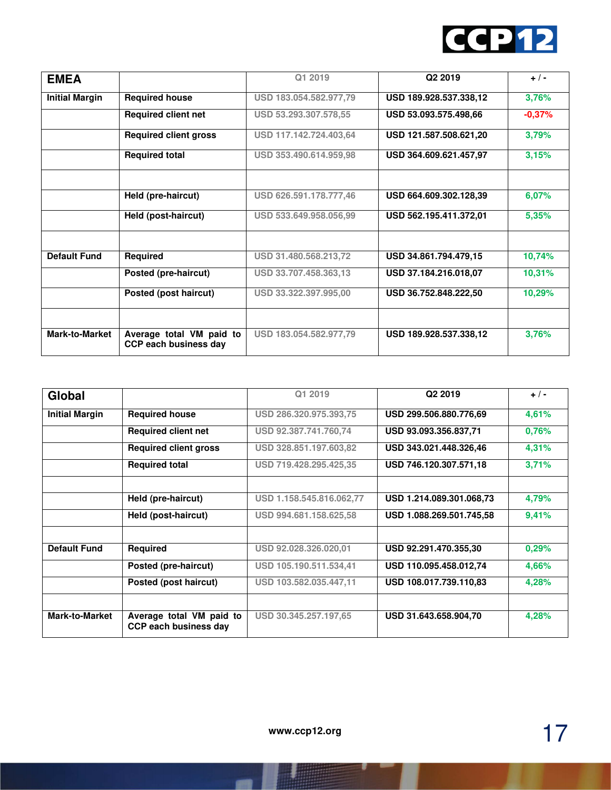

| <b>EMEA</b>           |                                                   | Q1 2019                | Q <sub>2</sub> 2019    | $+$ / -  |
|-----------------------|---------------------------------------------------|------------------------|------------------------|----------|
| <b>Initial Margin</b> | <b>Required house</b>                             | USD 183.054.582.977,79 | USD 189.928.537.338,12 | 3,76%    |
|                       | <b>Required client net</b>                        | USD 53.293.307.578,55  | USD 53.093.575.498,66  | $-0,37%$ |
|                       | <b>Required client gross</b>                      | USD 117.142.724.403,64 | USD 121.587.508.621,20 | 3,79%    |
|                       | <b>Required total</b>                             | USD 353.490.614.959,98 | USD 364.609.621.457,97 | 3,15%    |
|                       | Held (pre-haircut)                                | USD 626.591.178.777,46 | USD 664.609.302.128,39 | 6,07%    |
|                       | Held (post-haircut)                               | USD 533.649.958.056,99 | USD 562.195.411.372.01 | 5,35%    |
|                       |                                                   |                        |                        |          |
| <b>Default Fund</b>   | Required                                          | USD 31.480.568.213,72  | USD 34.861.794.479.15  | 10,74%   |
|                       | Posted (pre-haircut)                              | USD 33.707.458.363,13  | USD 37.184.216.018,07  | 10,31%   |
|                       | Posted (post haircut)                             | USD 33.322.397.995,00  | USD 36.752.848.222,50  | 10,29%   |
|                       |                                                   |                        |                        |          |
| <b>Mark-to-Market</b> | Average total VM paid to<br>CCP each business day | USD 183.054.582.977,79 | USD 189.928.537.338,12 | 3,76%    |

| Global                |                                                          | Q1 2019                  | Q <sub>2</sub> 2019      | $+/-$ |
|-----------------------|----------------------------------------------------------|--------------------------|--------------------------|-------|
| <b>Initial Margin</b> | <b>Required house</b>                                    | USD 286.320.975.393,75   | USD 299.506.880.776,69   | 4,61% |
|                       | <b>Required client net</b>                               | USD 92.387.741.760,74    | USD 93.093.356.837,71    | 0,76% |
|                       | <b>Required client gross</b>                             | USD 328.851.197.603,82   | USD 343.021.448.326,46   | 4,31% |
|                       | <b>Required total</b>                                    | USD 719.428.295.425,35   | USD 746.120.307.571,18   | 3,71% |
|                       |                                                          |                          |                          |       |
|                       | Held (pre-haircut)                                       | USD 1.158.545.816.062,77 | USD 1.214.089.301.068.73 | 4,79% |
|                       | Held (post-haircut)                                      | USD 994.681.158.625,58   | USD 1.088.269.501.745,58 | 9,41% |
|                       |                                                          |                          |                          |       |
| <b>Default Fund</b>   | Required                                                 | USD 92.028.326.020,01    | USD 92.291.470.355,30    | 0,29% |
|                       | Posted (pre-haircut)                                     | USD 105.190.511.534,41   | USD 110.095.458.012,74   | 4,66% |
|                       | Posted (post haircut)                                    | USD 103.582.035.447,11   | USD 108.017.739.110.83   | 4,28% |
|                       |                                                          |                          |                          |       |
| <b>Mark-to-Market</b> | Average total VM paid to<br><b>CCP each business day</b> | USD 30.345.257.197,65    | USD 31.643.658.904,70    | 4,28% |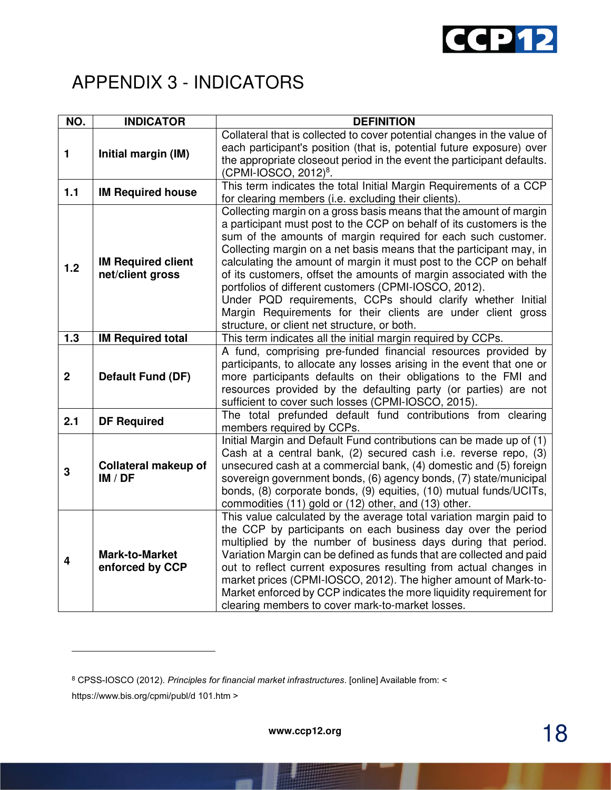

### APPENDIX 3 - INDICATORS

| NO.                     | <b>INDICATOR</b>                              | <b>DEFINITION</b>                                                                                                                                                                                                                                                                                                                                                                                                                                                                                                                                                                                                                                                      |
|-------------------------|-----------------------------------------------|------------------------------------------------------------------------------------------------------------------------------------------------------------------------------------------------------------------------------------------------------------------------------------------------------------------------------------------------------------------------------------------------------------------------------------------------------------------------------------------------------------------------------------------------------------------------------------------------------------------------------------------------------------------------|
| 1                       | Initial margin (IM)                           | Collateral that is collected to cover potential changes in the value of<br>each participant's position (that is, potential future exposure) over<br>the appropriate closeout period in the event the participant defaults.<br>$(CPMI-IOSCO, 2012)^8$ .                                                                                                                                                                                                                                                                                                                                                                                                                 |
| 1.1                     | <b>IM Required house</b>                      | This term indicates the total Initial Margin Requirements of a CCP<br>for clearing members (i.e. excluding their clients).                                                                                                                                                                                                                                                                                                                                                                                                                                                                                                                                             |
| 1.2                     | <b>IM Required client</b><br>net/client gross | Collecting margin on a gross basis means that the amount of margin<br>a participant must post to the CCP on behalf of its customers is the<br>sum of the amounts of margin required for each such customer.<br>Collecting margin on a net basis means that the participant may, in<br>calculating the amount of margin it must post to the CCP on behalf<br>of its customers, offset the amounts of margin associated with the<br>portfolios of different customers (CPMI-IOSCO, 2012).<br>Under PQD requirements, CCPs should clarify whether Initial<br>Margin Requirements for their clients are under client gross<br>structure, or client net structure, or both. |
| 1.3                     | <b>IM Required total</b>                      | This term indicates all the initial margin required by CCPs.                                                                                                                                                                                                                                                                                                                                                                                                                                                                                                                                                                                                           |
| $\overline{2}$          | <b>Default Fund (DF)</b>                      | A fund, comprising pre-funded financial resources provided by<br>participants, to allocate any losses arising in the event that one or<br>more participants defaults on their obligations to the FMI and<br>resources provided by the defaulting party (or parties) are not<br>sufficient to cover such losses (CPMI-IOSCO, 2015).                                                                                                                                                                                                                                                                                                                                     |
| 2.1                     | <b>DF Required</b>                            | The total prefunded default fund contributions from clearing<br>members required by CCPs.                                                                                                                                                                                                                                                                                                                                                                                                                                                                                                                                                                              |
| 3                       | <b>Collateral makeup of</b><br>IM / DF        | Initial Margin and Default Fund contributions can be made up of (1)<br>Cash at a central bank, (2) secured cash i.e. reverse repo, (3)<br>unsecured cash at a commercial bank, (4) domestic and (5) foreign<br>sovereign government bonds, (6) agency bonds, (7) state/municipal<br>bonds, (8) corporate bonds, (9) equities, (10) mutual funds/UCITs,<br>commodities (11) gold or (12) other, and (13) other.                                                                                                                                                                                                                                                         |
| $\overline{\mathbf{4}}$ | <b>Mark-to-Market</b><br>enforced by CCP      | This value calculated by the average total variation margin paid to<br>the CCP by participants on each business day over the period<br>multiplied by the number of business days during that period.<br>Variation Margin can be defined as funds that are collected and paid<br>out to reflect current exposures resulting from actual changes in<br>market prices (CPMI-IOSCO, 2012). The higher amount of Mark-to-<br>Market enforced by CCP indicates the more liquidity requirement for<br>clearing members to cover mark-to-market losses.                                                                                                                        |

<sup>8</sup> CPSS-IOSCO (2012). *Principles for financial market infrastructures*. [online] Available from: < https://www.bis.org/cpmi/publ/d 101.htm >

18 **www.ccp12.org**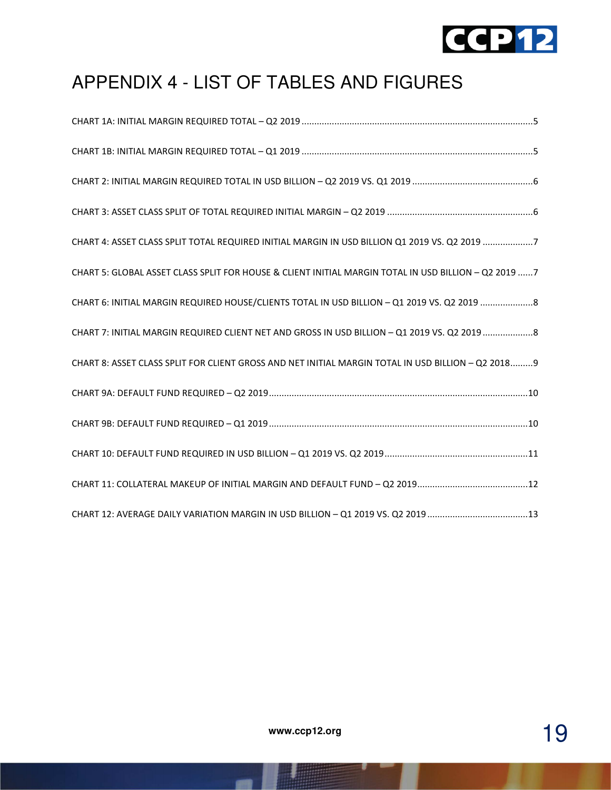

# APPENDIX 4 - LIST OF TABLES AND FIGURES

| CHART 4: ASSET CLASS SPLIT TOTAL REQUIRED INITIAL MARGIN IN USD BILLION Q1 2019 VS. Q2 2019 7        |
|------------------------------------------------------------------------------------------------------|
| CHART 5: GLOBAL ASSET CLASS SPLIT FOR HOUSE & CLIENT INITIAL MARGIN TOTAL IN USD BILLION - Q2 2019 7 |
| CHART 6: INITIAL MARGIN REQUIRED HOUSE/CLIENTS TOTAL IN USD BILLION - Q1 2019 VS. Q2 2019 8          |
| CHART 7: INITIAL MARGIN REQUIRED CLIENT NET AND GROSS IN USD BILLION - Q1 2019 VS. Q2 2019 8         |
| CHART 8: ASSET CLASS SPLIT FOR CLIENT GROSS AND NET INITIAL MARGIN TOTAL IN USD BILLION - Q2 2018 9  |
|                                                                                                      |
|                                                                                                      |
|                                                                                                      |
|                                                                                                      |
| CHART 12: AVERAGE DAILY VARIATION MARGIN IN USD BILLION - Q1 2019 VS. Q2 2019 13                     |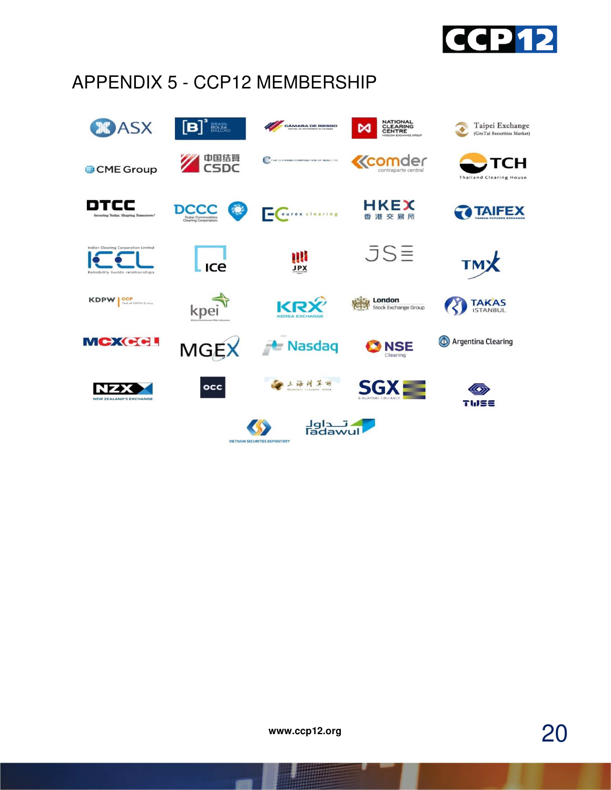

# APPENDIX 5 - CCP12 MEMBERSHIP